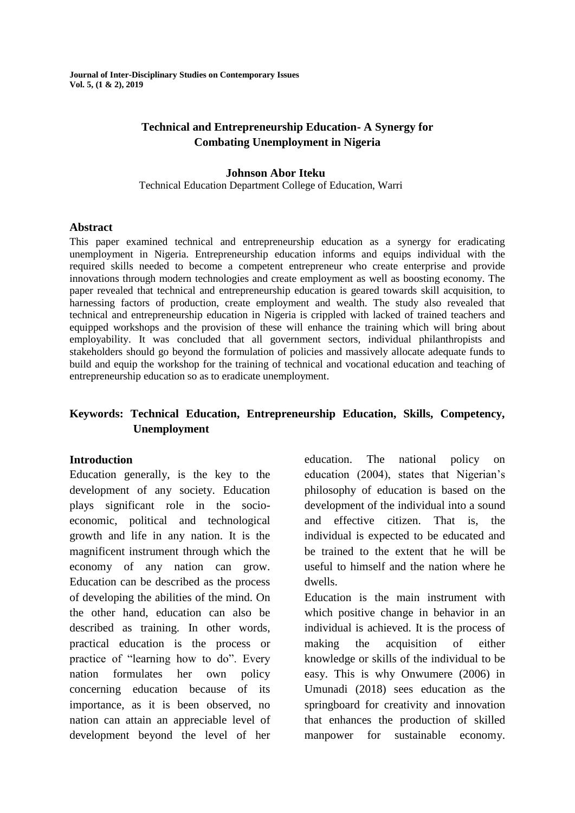**Journal of Inter-Disciplinary Studies on Contemporary Issues Vol. 5, (1 & 2), 2019**

## **Technical and Entrepreneurship Education- A Synergy for Combating Unemployment in Nigeria**

#### **Johnson Abor Iteku**

Technical Education Department College of Education, Warri

#### **Abstract**

This paper examined technical and entrepreneurship education as a synergy for eradicating unemployment in Nigeria. Entrepreneurship education informs and equips individual with the required skills needed to become a competent entrepreneur who create enterprise and provide innovations through modern technologies and create employment as well as boosting economy. The paper revealed that technical and entrepreneurship education is geared towards skill acquisition, to harnessing factors of production, create employment and wealth. The study also revealed that technical and entrepreneurship education in Nigeria is crippled with lacked of trained teachers and equipped workshops and the provision of these will enhance the training which will bring about employability. It was concluded that all government sectors, individual philanthropists and stakeholders should go beyond the formulation of policies and massively allocate adequate funds to build and equip the workshop for the training of technical and vocational education and teaching of entrepreneurship education so as to eradicate unemployment.

# **Keywords: Technical Education, Entrepreneurship Education, Skills, Competency, Unemployment**

#### **Introduction**

Education generally, is the key to the development of any society. Education plays significant role in the socioeconomic, political and technological growth and life in any nation. It is the magnificent instrument through which the economy of any nation can grow. Education can be described as the process of developing the abilities of the mind. On the other hand, education can also be described as training. In other words, practical education is the process or practice of "learning how to do". Every nation formulates her own policy concerning education because of its importance, as it is been observed, no nation can attain an appreciable level of development beyond the level of her

education. The national policy on education (2004), states that Nigerian's philosophy of education is based on the development of the individual into a sound and effective citizen. That is, the individual is expected to be educated and be trained to the extent that he will be useful to himself and the nation where he dwells.

Education is the main instrument with which positive change in behavior in an individual is achieved. It is the process of making the acquisition of either knowledge or skills of the individual to be easy. This is why Onwumere (2006) in Umunadi (2018) sees education as the springboard for creativity and innovation that enhances the production of skilled manpower for sustainable economy.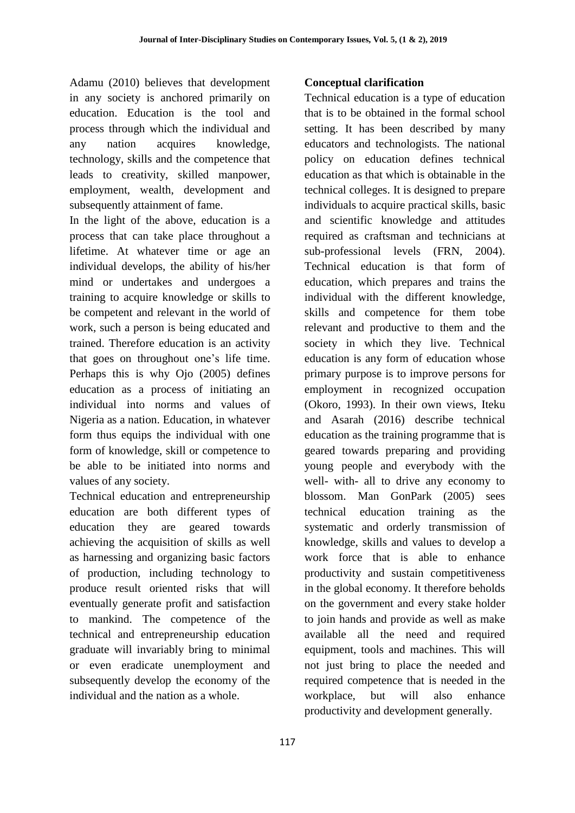Adamu (2010) believes that development in any society is anchored primarily on education. Education is the tool and process through which the individual and any nation acquires knowledge, technology, skills and the competence that leads to creativity, skilled manpower, employment, wealth, development and subsequently attainment of fame.

In the light of the above, education is a process that can take place throughout a lifetime. At whatever time or age an individual develops, the ability of his/her mind or undertakes and undergoes a training to acquire knowledge or skills to be competent and relevant in the world of work, such a person is being educated and trained. Therefore education is an activity that goes on throughout one's life time. Perhaps this is why Ojo (2005) defines education as a process of initiating an individual into norms and values of Nigeria as a nation. Education, in whatever form thus equips the individual with one form of knowledge, skill or competence to be able to be initiated into norms and values of any society.

Technical education and entrepreneurship education are both different types of education they are geared towards achieving the acquisition of skills as well as harnessing and organizing basic factors of production, including technology to produce result oriented risks that will eventually generate profit and satisfaction to mankind. The competence of the technical and entrepreneurship education graduate will invariably bring to minimal or even eradicate unemployment and subsequently develop the economy of the individual and the nation as a whole.

# **Conceptual clarification**

Technical education is a type of education that is to be obtained in the formal school setting. It has been described by many educators and technologists. The national policy on education defines technical education as that which is obtainable in the technical colleges. It is designed to prepare individuals to acquire practical skills, basic and scientific knowledge and attitudes required as craftsman and technicians at sub-professional levels (FRN, 2004). Technical education is that form of education, which prepares and trains the individual with the different knowledge, skills and competence for them tobe relevant and productive to them and the society in which they live. Technical education is any form of education whose primary purpose is to improve persons for employment in recognized occupation (Okoro, 1993). In their own views, Iteku and Asarah (2016) describe technical education as the training programme that is geared towards preparing and providing young people and everybody with the well- with- all to drive any economy to blossom. Man GonPark (2005) sees technical education training as the systematic and orderly transmission of knowledge, skills and values to develop a work force that is able to enhance productivity and sustain competitiveness in the global economy. It therefore beholds on the government and every stake holder to join hands and provide as well as make available all the need and required equipment, tools and machines. This will not just bring to place the needed and required competence that is needed in the workplace, but will also enhance productivity and development generally.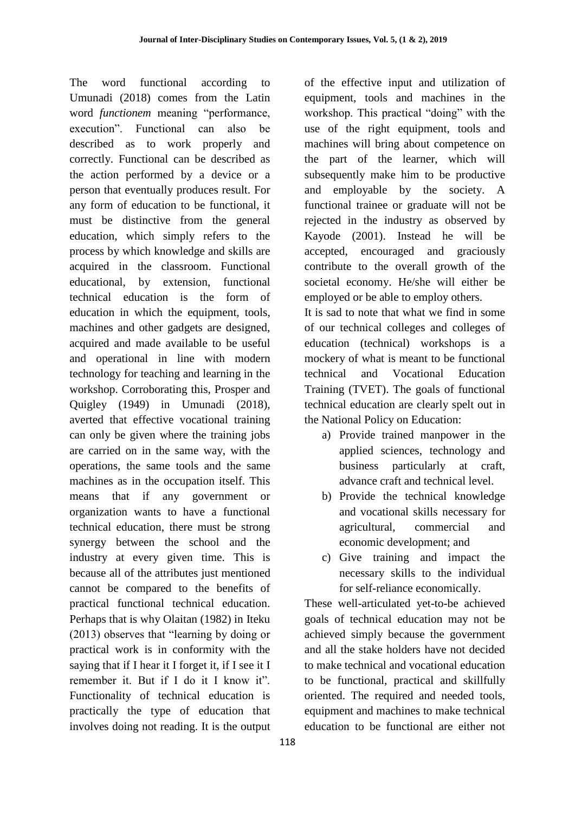The word functional according to Umunadi (2018) comes from the Latin word *functionem* meaning "performance, execution". Functional can also be described as to work properly and correctly. Functional can be described as the action performed by a device or a person that eventually produces result. For any form of education to be functional, it must be distinctive from the general education, which simply refers to the process by which knowledge and skills are acquired in the classroom. Functional educational, by extension, functional technical education is the form of education in which the equipment, tools, machines and other gadgets are designed, acquired and made available to be useful and operational in line with modern technology for teaching and learning in the workshop. Corroborating this, Prosper and Quigley (1949) in Umunadi (2018), averted that effective vocational training can only be given where the training jobs are carried on in the same way, with the operations, the same tools and the same machines as in the occupation itself. This means that if any government or organization wants to have a functional technical education, there must be strong synergy between the school and the industry at every given time. This is because all of the attributes just mentioned cannot be compared to the benefits of practical functional technical education. Perhaps that is why Olaitan (1982) in Iteku (2013) observes that "learning by doing or practical work is in conformity with the saying that if I hear it I forget it, if I see it I remember it. But if I do it I know it". Functionality of technical education is practically the type of education that involves doing not reading. It is the output of the effective input and utilization of equipment, tools and machines in the workshop. This practical "doing" with the use of the right equipment, tools and machines will bring about competence on the part of the learner, which will subsequently make him to be productive and employable by the society. A functional trainee or graduate will not be rejected in the industry as observed by Kayode (2001). Instead he will be accepted, encouraged and graciously contribute to the overall growth of the societal economy. He/she will either be employed or be able to employ others.

It is sad to note that what we find in some of our technical colleges and colleges of education (technical) workshops is a mockery of what is meant to be functional technical and Vocational Education Training (TVET). The goals of functional technical education are clearly spelt out in the National Policy on Education:

- a) Provide trained manpower in the applied sciences, technology and business particularly at craft, advance craft and technical level.
- b) Provide the technical knowledge and vocational skills necessary for agricultural, commercial and economic development; and
- c) Give training and impact the necessary skills to the individual for self-reliance economically.

These well-articulated yet-to-be achieved goals of technical education may not be achieved simply because the government and all the stake holders have not decided to make technical and vocational education to be functional, practical and skillfully oriented. The required and needed tools, equipment and machines to make technical education to be functional are either not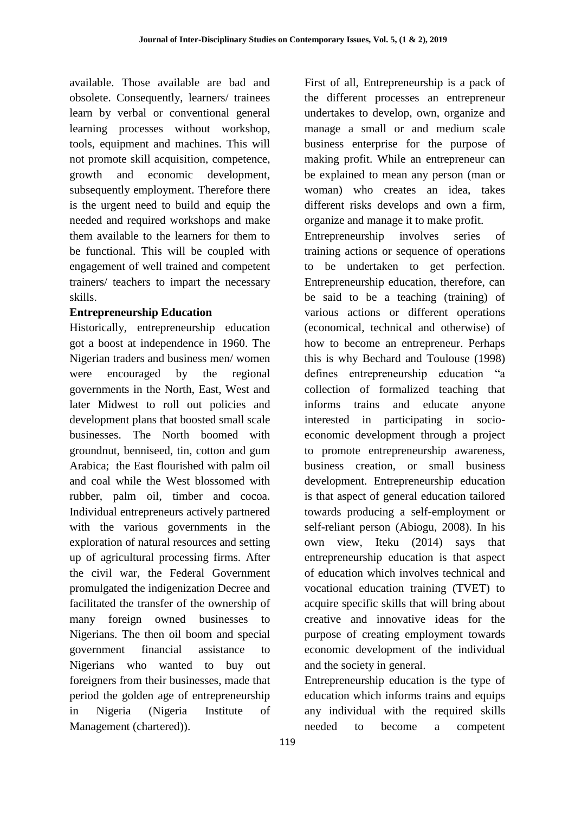available. Those available are bad and obsolete. Consequently, learners/ trainees learn by verbal or conventional general learning processes without workshop, tools, equipment and machines. This will not promote skill acquisition, competence, growth and economic development, subsequently employment. Therefore there is the urgent need to build and equip the needed and required workshops and make them available to the learners for them to be functional. This will be coupled with engagement of well trained and competent trainers/ teachers to impart the necessary skills.

## **Entrepreneurship Education**

Historically, entrepreneurship education got a boost at independence in 1960. The Nigerian traders and business men/ women were encouraged by the regional governments in the North, East, West and later Midwest to roll out policies and development plans that boosted small scale businesses. The North boomed with groundnut, benniseed, tin, cotton and gum Arabica; the East flourished with palm oil and coal while the West blossomed with rubber, palm oil, timber and cocoa. Individual entrepreneurs actively partnered with the various governments in the exploration of natural resources and setting up of agricultural processing firms. After the civil war, the Federal Government promulgated the indigenization Decree and facilitated the transfer of the ownership of many foreign owned businesses to Nigerians. The then oil boom and special government financial assistance to Nigerians who wanted to buy out foreigners from their businesses, made that period the golden age of entrepreneurship in Nigeria (Nigeria Institute of Management (chartered)).

First of all, Entrepreneurship is a pack of the different processes an entrepreneur undertakes to develop, own, organize and manage a small or and medium scale business enterprise for the purpose of making profit. While an entrepreneur can be explained to mean any person (man or woman) who creates an idea, takes different risks develops and own a firm, organize and manage it to make profit.

Entrepreneurship involves series of training actions or sequence of operations to be undertaken to get perfection. Entrepreneurship education, therefore, can be said to be a teaching (training) of various actions or different operations (economical, technical and otherwise) of how to become an entrepreneur. Perhaps this is why Bechard and Toulouse (1998) defines entrepreneurship education "a collection of formalized teaching that informs trains and educate anyone interested in participating in socioeconomic development through a project to promote entrepreneurship awareness, business creation, or small business development. Entrepreneurship education is that aspect of general education tailored towards producing a self-employment or self-reliant person (Abiogu, 2008). In his own view, Iteku (2014) says that entrepreneurship education is that aspect of education which involves technical and vocational education training (TVET) to acquire specific skills that will bring about creative and innovative ideas for the purpose of creating employment towards economic development of the individual and the society in general.

Entrepreneurship education is the type of education which informs trains and equips any individual with the required skills needed to become a competent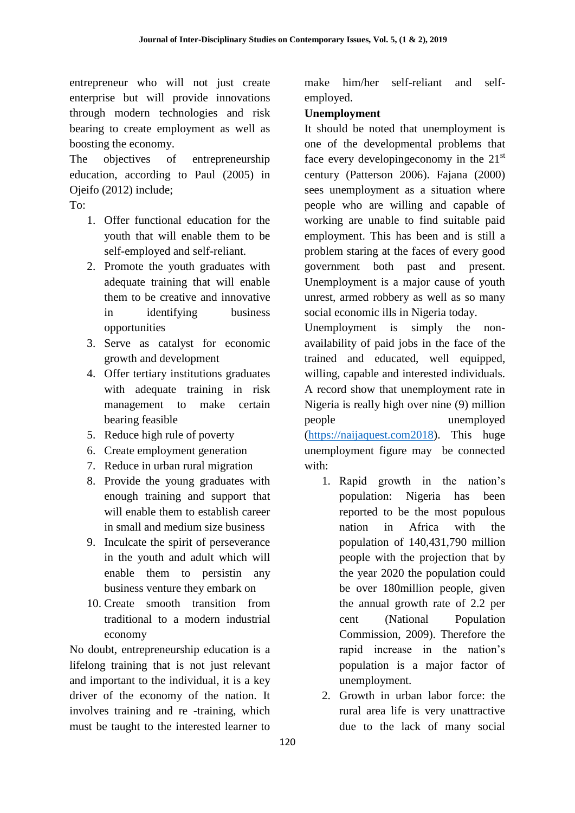entrepreneur who will not just create enterprise but will provide innovations through modern technologies and risk bearing to create employment as well as boosting the economy.

The objectives of entrepreneurship education, according to Paul (2005) in Ojeifo (2012) include;

To:

- 1. Offer functional education for the youth that will enable them to be self-employed and self-reliant.
- 2. Promote the youth graduates with adequate training that will enable them to be creative and innovative in identifying business opportunities
- 3. Serve as catalyst for economic growth and development
- 4. Offer tertiary institutions graduates with adequate training in risk management to make certain bearing feasible
- 5. Reduce high rule of poverty
- 6. Create employment generation
- 7. Reduce in urban rural migration
- 8. Provide the young graduates with enough training and support that will enable them to establish career in small and medium size business
- 9. Inculcate the spirit of perseverance in the youth and adult which will enable them to persistin any business venture they embark on
- 10. Create smooth transition from traditional to a modern industrial economy

No doubt, entrepreneurship education is a lifelong training that is not just relevant and important to the individual, it is a key driver of the economy of the nation. It involves training and re -training, which must be taught to the interested learner to

make him/her self-reliant and selfemployed.

## **Unemployment**

It should be noted that unemployment is one of the developmental problems that face every developingeconomy in the  $21<sup>st</sup>$ century (Patterson 2006). Fajana (2000) sees unemployment as a situation where people who are willing and capable of working are unable to find suitable paid employment. This has been and is still a problem staring at the faces of every good government both past and present. Unemployment is a major cause of youth unrest, armed robbery as well as so many social economic ills in Nigeria today.

Unemployment is simply the nonavailability of paid jobs in the face of the trained and educated, well equipped, willing, capable and interested individuals. A record show that unemployment rate in Nigeria is really high over nine (9) million people unemployed [\(https://naijaquest.com2018\)](https://naijaquest.com2018/). This huge unemployment figure may be connected with:

- 1. Rapid growth in the nation's population: Nigeria has been reported to be the most populous nation in Africa with the population of 140,431,790 million people with the projection that by the year 2020 the population could be over 180million people, given the annual growth rate of 2.2 per cent (National Population Commission, 2009). Therefore the rapid increase in the nation's population is a major factor of unemployment.
- 2. Growth in urban labor force: the rural area life is very unattractive due to the lack of many social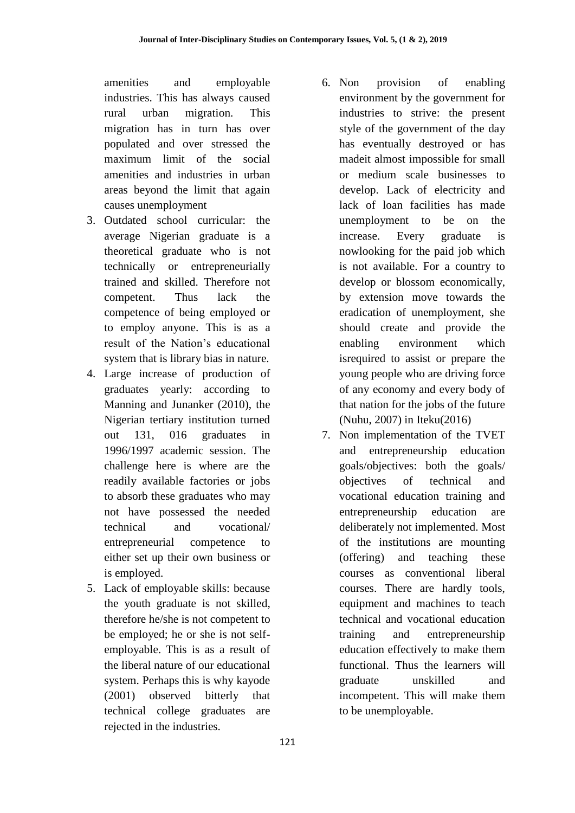amenities and employable industries. This has always caused rural urban migration. This migration has in turn has over populated and over stressed the maximum limit of the social amenities and industries in urban areas beyond the limit that again causes unemployment

- 3. Outdated school curricular: the average Nigerian graduate is a theoretical graduate who is not technically or entrepreneurially trained and skilled. Therefore not competent. Thus lack the competence of being employed or to employ anyone. This is as a result of the Nation's educational system that is library bias in nature.
- 4. Large increase of production of graduates yearly: according to Manning and Junanker (2010), the Nigerian tertiary institution turned out 131, 016 graduates in 1996/1997 academic session. The challenge here is where are the readily available factories or jobs to absorb these graduates who may not have possessed the needed technical and vocational/ entrepreneurial competence to either set up their own business or is employed.
- 5. Lack of employable skills: because the youth graduate is not skilled, therefore he/she is not competent to be employed; he or she is not selfemployable. This is as a result of the liberal nature of our educational system. Perhaps this is why kayode (2001) observed bitterly that technical college graduates are rejected in the industries.
- 6. Non provision of enabling environment by the government for industries to strive: the present style of the government of the day has eventually destroyed or has madeit almost impossible for small or medium scale businesses to develop. Lack of electricity and lack of loan facilities has made unemployment to be on the increase. Every graduate is nowlooking for the paid job which is not available. For a country to develop or blossom economically, by extension move towards the eradication of unemployment, she should create and provide the enabling environment which isrequired to assist or prepare the young people who are driving force of any economy and every body of that nation for the jobs of the future (Nuhu, 2007) in Iteku(2016)
- 7. Non implementation of the TVET and entrepreneurship education goals/objectives: both the goals/ objectives of technical and vocational education training and entrepreneurship education are deliberately not implemented. Most of the institutions are mounting (offering) and teaching these courses as conventional liberal courses. There are hardly tools, equipment and machines to teach technical and vocational education training and entrepreneurship education effectively to make them functional. Thus the learners will graduate unskilled and incompetent. This will make them to be unemployable.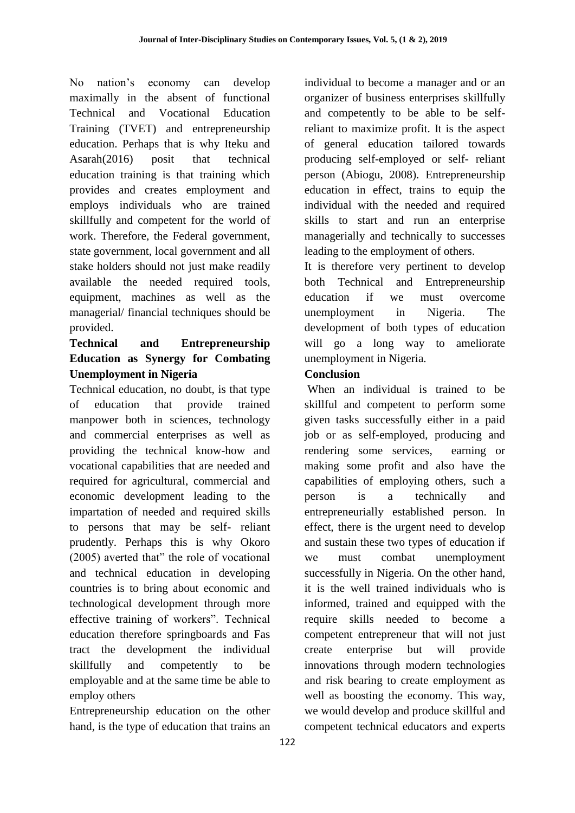No nation's economy can develop maximally in the absent of functional Technical and Vocational Education Training (TVET) and entrepreneurship education. Perhaps that is why Iteku and Asarah(2016) posit that technical education training is that training which provides and creates employment and employs individuals who are trained skillfully and competent for the world of work. Therefore, the Federal government, state government, local government and all stake holders should not just make readily available the needed required tools, equipment, machines as well as the managerial/ financial techniques should be provided.

# **Technical and Entrepreneurship Education as Synergy for Combating Unemployment in Nigeria**

Technical education, no doubt, is that type of education that provide trained manpower both in sciences, technology and commercial enterprises as well as providing the technical know-how and vocational capabilities that are needed and required for agricultural, commercial and economic development leading to the impartation of needed and required skills to persons that may be self- reliant prudently. Perhaps this is why Okoro (2005) averted that" the role of vocational and technical education in developing countries is to bring about economic and technological development through more effective training of workers". Technical education therefore springboards and Fas tract the development the individual skillfully and competently to be employable and at the same time be able to employ others

Entrepreneurship education on the other hand, is the type of education that trains an individual to become a manager and or an organizer of business enterprises skillfully and competently to be able to be selfreliant to maximize profit. It is the aspect of general education tailored towards producing self-employed or self- reliant person (Abiogu, 2008). Entrepreneurship education in effect, trains to equip the individual with the needed and required skills to start and run an enterprise managerially and technically to successes leading to the employment of others.

It is therefore very pertinent to develop both Technical and Entrepreneurship education if we must overcome unemployment in Nigeria. The development of both types of education will go a long way to ameliorate unemployment in Nigeria.

# **Conclusion**

When an individual is trained to be skillful and competent to perform some given tasks successfully either in a paid job or as self-employed, producing and rendering some services, earning or making some profit and also have the capabilities of employing others, such a person is a technically and entrepreneurially established person. In effect, there is the urgent need to develop and sustain these two types of education if we must combat unemployment successfully in Nigeria. On the other hand, it is the well trained individuals who is informed, trained and equipped with the require skills needed to become a competent entrepreneur that will not just create enterprise but will provide innovations through modern technologies and risk bearing to create employment as well as boosting the economy. This way, we would develop and produce skillful and competent technical educators and experts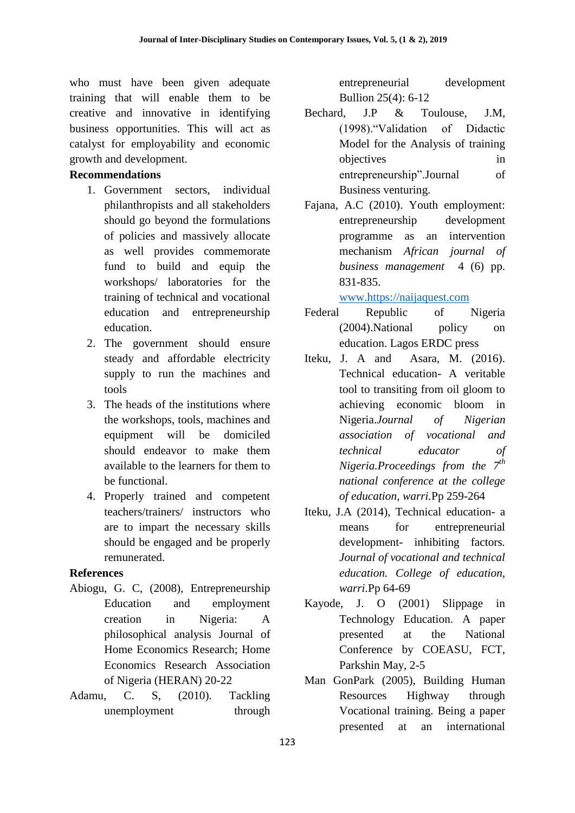who must have been given adequate training that will enable them to be creative and innovative in identifying business opportunities. This will act as catalyst for employability and economic growth and development.

# **Recommendations**

- 1. Government sectors, individual philanthropists and all stakeholders should go beyond the formulations of policies and massively allocate as well provides commemorate fund to build and equip the workshops/ laboratories for the training of technical and vocational education and entrepreneurship education.
- 2. The government should ensure steady and affordable electricity supply to run the machines and tools
- 3. The heads of the institutions where the workshops, tools, machines and equipment will be domiciled should endeavor to make them available to the learners for them to be functional.
- 4. Properly trained and competent teachers/trainers/ instructors who are to impart the necessary skills should be engaged and be properly remunerated.

# **References**

- Abiogu, G. C, (2008), Entrepreneurship Education and employment creation in Nigeria: A philosophical analysis Journal of Home Economics Research; Home Economics Research Association of Nigeria (HERAN) 20-22
- Adamu, C. S, (2010). Tackling unemployment through

entrepreneurial development Bullion 25(4): 6-12

- Bechard, J.P & Toulouse, J.M, (1998)."Validation of Didactic Model for the Analysis of training objectives in entrepreneurship".Journal of Business venturing.
- Fajana, A.C (2010). Youth employment: entrepreneurship development programme as an intervention mechanism *African journal of business management* 4 (6) pp. 831-835.

[www.https://naijaquest.com](http://www.https/naijaquest.com)

- Federal Republic of Nigeria (2004).National policy on education. Lagos ERDC press
- Iteku, J. A and Asara, M. (2016). Technical education- A veritable tool to transiting from oil gloom to achieving economic bloom in Nigeria.*Journal of Nigerian association of vocational and technical educator of Nigeria.Proceedings from the 7th national conference at the college of education, warri.*Pp 259-264
- Iteku, J.A (2014), Technical education- a means for entrepreneurial development- inhibiting factors*. Journal of vocational and technical education. College of education, warri.*Pp 64-69
- Kayode, J. O (2001) Slippage in Technology Education. A paper presented at the National Conference by COEASU, FCT, Parkshin May, 2-5
- Man GonPark (2005), Building Human Resources Highway through Vocational training. Being a paper presented at an international